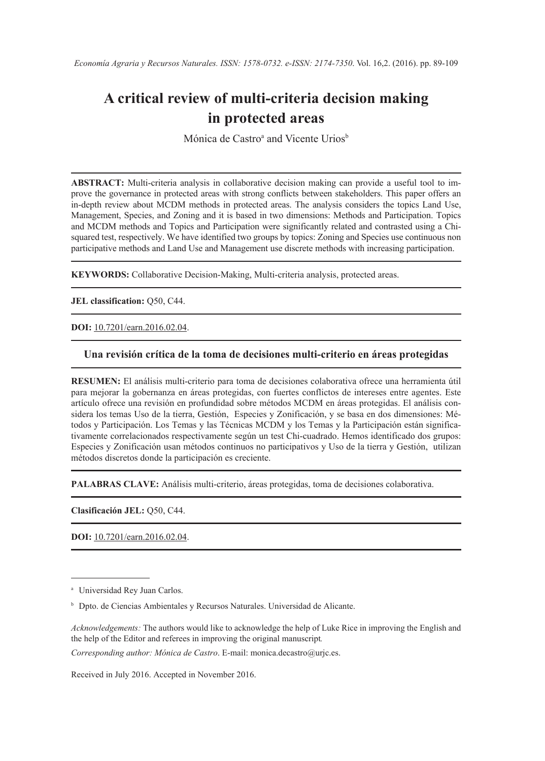# **A critical review of multi-criteria decision making in protected areas**

Mónica de Castro<sup>a</sup> and Vicente Urios<sup>b</sup>

**ABSTRACT:** Multi-criteria analysis in collaborative decision making can provide a useful tool to improve the governance in protected areas with strong conflicts between stakeholders. This paper offers an in-depth review about MCDM methods in protected areas. The analysis considers the topics Land Use, Management, Species, and Zoning and it is based in two dimensions: Methods and Participation. Topics and MCDM methods and Topics and Participation were significantly related and contrasted using a Chisquared test, respectively. We have identified two groups by topics: Zoning and Species use continuous non participative methods and Land Use and Management use discrete methods with increasing participation.

**KEYWORDS:** Collaborative Decision-Making, Multi-criteria analysis, protected areas.

**JEL classification:** Q50, C44.

**DOI:** [10.7201/earn.2016.02.04](http://dx.doi.org/10.7201/earn.2016.01.04).

#### **Una revisión crítica de la toma de decisiones multi-criterio en áreas protegidas**

**RESUMEN:** El análisis multi-criterio para toma de decisiones colaborativa ofrece una herramienta útil para mejorar la gobernanza en áreas protegidas, con fuertes conflictos de intereses entre agentes. Este artículo ofrece una revisión en profundidad sobre métodos MCDM en áreas protegidas. El análisis considera los temas Uso de la tierra, Gestión, Especies y Zonificación, y se basa en dos dimensiones: Métodos y Participación. Los Temas y las Técnicas MCDM y los Temas y la Participación están significativamente correlacionados respectivamente según un test Chi-cuadrado. Hemos identificado dos grupos: Especies y Zonificación usan métodos continuos no participativos y Uso de la tierra y Gestión, utilizan métodos discretos donde la participación es creciente.

**PALABRAS CLAVE:** Análisis multi-criterio, áreas protegidas, toma de decisiones colaborativa.

**Clasificación JEL:** Q50, C44.

**DOI:** [10.7201/earn.2016.02.04](http://dx.doi.org/10.7201/earn.2016.01.04).

*Acknowledgements:* The authors would like to acknowledge the help of Luke Rice in improving the English and the help of the Editor and referees in improving the original manuscript*.*

*Corresponding author: Mónica de Castro*. E-mail: monica.decastro@urjc.es.

Received in July 2016. Accepted in November 2016.

<sup>&</sup>lt;sup>a</sup> Universidad Rey Juan Carlos.

<sup>b</sup> Dpto. de Ciencias Ambientales y Recursos Naturales. Universidad de Alicante.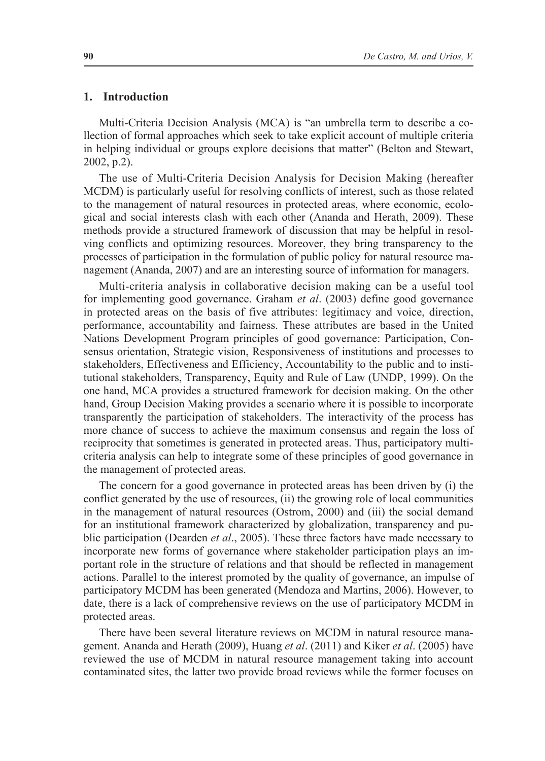## **1. Introduction**

Multi-Criteria Decision Analysis (MCA) is "an umbrella term to describe a collection of formal approaches which seek to take explicit account of multiple criteria in helping individual or groups explore decisions that matter" (Belton and Stewart, 2002, p.2).

The use of Multi-Criteria Decision Analysis for Decision Making (hereafter MCDM) is particularly useful for resolving conflicts of interest, such as those related to the management of natural resources in protected areas, where economic, ecological and social interests clash with each other (Ananda and Herath, 2009). These methods provide a structured framework of discussion that may be helpful in resolving conflicts and optimizing resources. Moreover, they bring transparency to the processes of participation in the formulation of public policy for natural resource management (Ananda, 2007) and are an interesting source of information for managers.

Multi-criteria analysis in collaborative decision making can be a useful tool for implementing good governance. Graham *et al*. (2003) define good governance in protected areas on the basis of five attributes: legitimacy and voice, direction, performance, accountability and fairness. These attributes are based in the United Nations Development Program principles of good governance: Participation, Consensus orientation, Strategic vision, Responsiveness of institutions and processes to stakeholders, Effectiveness and Efficiency, Accountability to the public and to institutional stakeholders, Transparency, Equity and Rule of Law (UNDP, 1999). On the one hand, MCA provides a structured framework for decision making. On the other hand, Group Decision Making provides a scenario where it is possible to incorporate transparently the participation of stakeholders. The interactivity of the process has more chance of success to achieve the maximum consensus and regain the loss of reciprocity that sometimes is generated in protected areas. Thus, participatory multicriteria analysis can help to integrate some of these principles of good governance in the management of protected areas.

The concern for a good governance in protected areas has been driven by (i) the conflict generated by the use of resources, (ii) the growing role of local communities in the management of natural resources (Ostrom, 2000) and (iii) the social demand for an institutional framework characterized by globalization, transparency and public participation (Dearden *et al*., 2005). These three factors have made necessary to incorporate new forms of governance where stakeholder participation plays an important role in the structure of relations and that should be reflected in management actions. Parallel to the interest promoted by the quality of governance, an impulse of participatory MCDM has been generated (Mendoza and Martins, 2006). However, to date, there is a lack of comprehensive reviews on the use of participatory MCDM in protected areas.

There have been several literature reviews on MCDM in natural resource management. Ananda and Herath (2009), Huang *et al*. (2011) and Kiker *et al*. (2005) have reviewed the use of MCDM in natural resource management taking into account contaminated sites, the latter two provide broad reviews while the former focuses on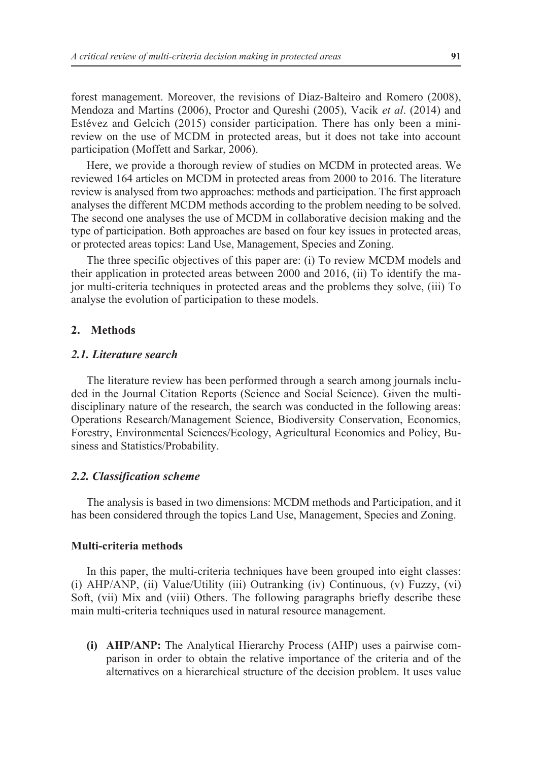forest management. Moreover, the revisions of Diaz-Balteiro and Romero (2008), Mendoza and Martins (2006), Proctor and Qureshi (2005), Vacik *et al*. (2014) and Estévez and Gelcich (2015) consider participation. There has only been a minireview on the use of MCDM in protected areas, but it does not take into account participation (Moffett and Sarkar, 2006).

Here, we provide a thorough review of studies on MCDM in protected areas. We reviewed 164 articles on MCDM in protected areas from 2000 to 2016. The literature review is analysed from two approaches: methods and participation. The first approach analyses the different MCDM methods according to the problem needing to be solved. The second one analyses the use of MCDM in collaborative decision making and the type of participation. Both approaches are based on four key issues in protected areas, or protected areas topics: Land Use, Management, Species and Zoning.

The three specific objectives of this paper are: (i) To review MCDM models and their application in protected areas between 2000 and 2016, (ii) To identify the major multi-criteria techniques in protected areas and the problems they solve, (iii) To analyse the evolution of participation to these models.

## **2. Methods**

# *2.1. Literature search*

The literature review has been performed through a search among journals included in the Journal Citation Reports (Science and Social Science). Given the multidisciplinary nature of the research, the search was conducted in the following areas: Operations Research/Management Science, Biodiversity Conservation, Economics, Forestry, Environmental Sciences/Ecology, Agricultural Economics and Policy, Business and Statistics/Probability.

#### *2.2. Classification scheme*

The analysis is based in two dimensions: MCDM methods and Participation, and it has been considered through the topics Land Use, Management, Species and Zoning.

# **Multi-criteria methods**

In this paper, the multi-criteria techniques have been grouped into eight classes: (i) AHP/ANP, (ii) Value/Utility (iii) Outranking (iv) Continuous, (v) Fuzzy, (vi) Soft, (vii) Mix and (viii) Others. The following paragraphs briefly describe these main multi-criteria techniques used in natural resource management.

**(i) AHP/ANP:** The Analytical Hierarchy Process (AHP) uses a pairwise comparison in order to obtain the relative importance of the criteria and of the alternatives on a hierarchical structure of the decision problem. It uses value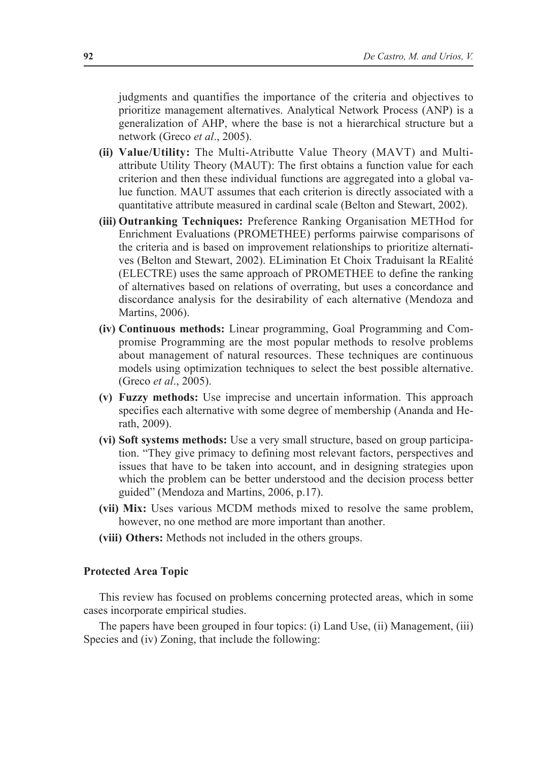judgments and quantifies the importance of the criteria and objectives to prioritize management alternatives. Analytical Network Process (ANP) is a generalization of AHP, where the base is not a hierarchical structure but a network (Greco *et al*., 2005).

- **(ii) Value/Utility:** The Multi-Atributte Value Theory (MAVT) and Multiattribute Utility Theory (MAUT): The first obtains a function value for each criterion and then these individual functions are aggregated into a global value function. MAUT assumes that each criterion is directly associated with a quantitative attribute measured in cardinal scale (Belton and Stewart, 2002).
- **(iii) Outranking Techniques:** Preference Ranking Organisation METHod for Enrichment Evaluations (PROMETHEE) performs pairwise comparisons of the criteria and is based on improvement relationships to prioritize alternatives (Belton and Stewart, 2002). ELimination Et Choix Traduisant la REalité (ELECTRE) uses the same approach of PROMETHEE to define the ranking of alternatives based on relations of overrating, but uses a concordance and discordance analysis for the desirability of each alternative (Mendoza and Martins, 2006).
- **(iv) Continuous methods:** Linear programming, Goal Programming and Compromise Programming are the most popular methods to resolve problems about management of natural resources. These techniques are continuous models using optimization techniques to select the best possible alternative. (Greco *et al*., 2005).
- **(v) Fuzzy methods:** Use imprecise and uncertain information. This approach specifies each alternative with some degree of membership (Ananda and Herath, 2009).
- **(vi) Soft systems methods:** Use a very small structure, based on group participation. "They give primacy to defining most relevant factors, perspectives and issues that have to be taken into account, and in designing strategies upon which the problem can be better understood and the decision process better guided" (Mendoza and Martins, 2006, p.17).
- **(vii) Mix:** Uses various MCDM methods mixed to resolve the same problem, however, no one method are more important than another.
- **(viii) Others:** Methods not included in the others groups.

## **Protected Area Topic**

This review has focused on problems concerning protected areas, which in some cases incorporate empirical studies.

The papers have been grouped in four topics: (i) Land Use, (ii) Management, (iii) Species and (iv) Zoning, that include the following: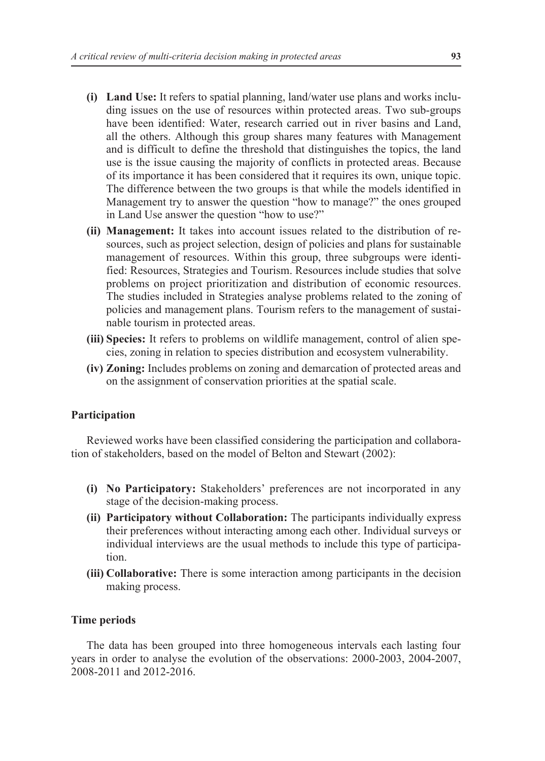- **(i) Land Use:** It refers to spatial planning, land/water use plans and works including issues on the use of resources within protected areas. Two sub-groups have been identified: Water, research carried out in river basins and Land, all the others. Although this group shares many features with Management and is difficult to define the threshold that distinguishes the topics, the land use is the issue causing the majority of conflicts in protected areas. Because of its importance it has been considered that it requires its own, unique topic. The difference between the two groups is that while the models identified in Management try to answer the question "how to manage?" the ones grouped in Land Use answer the question "how to use?"
- **(ii) Management:** It takes into account issues related to the distribution of resources, such as project selection, design of policies and plans for sustainable management of resources. Within this group, three subgroups were identified: Resources, Strategies and Tourism. Resources include studies that solve problems on project prioritization and distribution of economic resources. The studies included in Strategies analyse problems related to the zoning of policies and management plans. Tourism refers to the management of sustainable tourism in protected areas.
- **(iii) Species:** It refers to problems on wildlife management, control of alien species, zoning in relation to species distribution and ecosystem vulnerability.
- **(iv) Zoning:** Includes problems on zoning and demarcation of protected areas and on the assignment of conservation priorities at the spatial scale.

# **Participation**

Reviewed works have been classified considering the participation and collaboration of stakeholders, based on the model of Belton and Stewart (2002):

- **(i) No Participatory:** Stakeholders' preferences are not incorporated in any stage of the decision-making process.
- **(ii) Participatory without Collaboration:** The participants individually express their preferences without interacting among each other. Individual surveys or individual interviews are the usual methods to include this type of participation.
- **(iii) Collaborative:** There is some interaction among participants in the decision making process.

## **Time periods**

The data has been grouped into three homogeneous intervals each lasting four years in order to analyse the evolution of the observations: 2000-2003, 2004-2007, 2008-2011 and 2012-2016.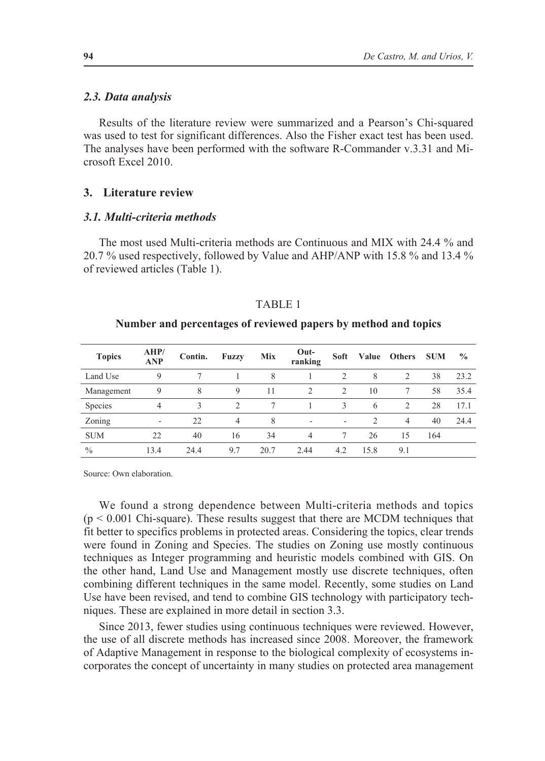#### *2.3. Data analysis*

Results of the literature review were summarized and a Pearson's Chi-squared was used to test for significant differences. Also the Fisher exact test has been used. The analyses have been performed with the software R-Commander v.3.31 and Microsoft Excel 2010.

## **3. Literature review**

## *3.1. Multi-criteria methods*

The most used Multi-criteria methods are Continuous and MIX with 24.4 % and 20.7 % used respectively, followed by Value and AHP/ANP with 15.8 % and 13.4 % of reviewed articles (Table 1).

#### TABLE 1

#### **Number and percentages of reviewed papers by method and topics**

| <b>Topics</b> | AHP/<br><b>ANP</b> | Contin. | <b>Fuzzy</b>   | Mix  | Out-<br>ranking | Soft          | Value          | <b>Others</b>  | <b>SUM</b> | $\frac{0}{0}$ |
|---------------|--------------------|---------|----------------|------|-----------------|---------------|----------------|----------------|------------|---------------|
| Land Use      | 9                  |         |                | 8    |                 | 2             | 8              | 2              | 38         | 23.2          |
| Management    | 9                  | 8       | 9              | 11   | $\mathcal{L}$   | 2             | 10             |                | 58         | 35.4          |
| Species       | 4                  | 3       | $\mathcal{D}$  | 7    |                 | $\mathcal{L}$ | 6              | 2              | 28         | 17.1          |
| Zoning        | ۰                  | 22      | $\overline{4}$ | 8    | ٠               |               | $\mathfrak{D}$ | $\overline{4}$ | 40         | 24.4          |
| <b>SUM</b>    | 22                 | 40      | 16             | 34   | $\overline{4}$  |               | 26             | 15             | 164        |               |
| $\frac{0}{0}$ | 13.4               | 24.4    | 9.7            | 20.7 | 2.44            | 4.2           | 15.8           | 9.1            |            |               |

Source: Own elaboration.

We found a strong dependence between Multi-criteria methods and topics  $(p < 0.001)$  Chi-square). These results suggest that there are MCDM techniques that fit better to specifics problems in protected areas. Considering the topics, clear trends were found in Zoning and Species. The studies on Zoning use mostly continuous techniques as Integer programming and heuristic models combined with GIS. On the other hand, Land Use and Management mostly use discrete techniques, often combining different techniques in the same model. Recently, some studies on Land Use have been revised, and tend to combine GIS technology with participatory techniques. These are explained in more detail in section 3.3.

Since 2013, fewer studies using continuous techniques were reviewed. However, the use of all discrete methods has increased since 2008. Moreover, the framework of Adaptive Management in response to the biological complexity of ecosystems incorporates the concept of uncertainty in many studies on protected area management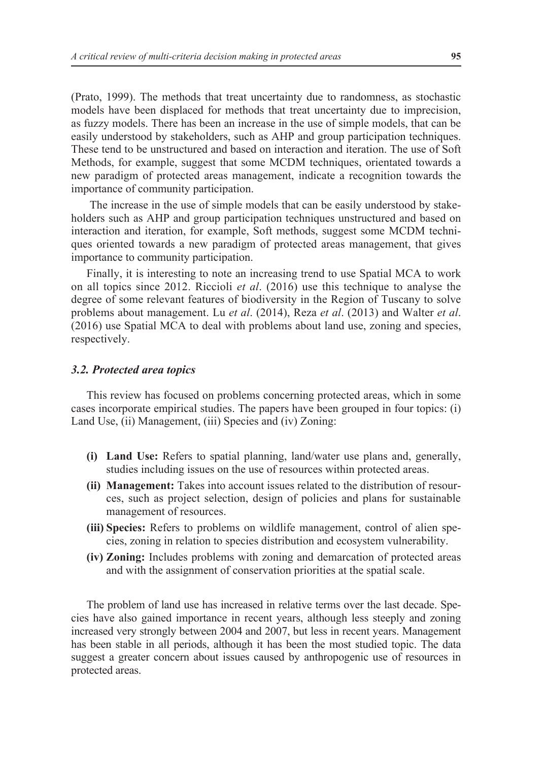(Prato, 1999). The methods that treat uncertainty due to randomness, as stochastic models have been displaced for methods that treat uncertainty due to imprecision, as fuzzy models. There has been an increase in the use of simple models, that can be easily understood by stakeholders, such as AHP and group participation techniques. These tend to be unstructured and based on interaction and iteration. The use of Soft Methods, for example, suggest that some MCDM techniques, orientated towards a new paradigm of protected areas management, indicate a recognition towards the importance of community participation.

 The increase in the use of simple models that can be easily understood by stakeholders such as AHP and group participation techniques unstructured and based on interaction and iteration, for example, Soft methods, suggest some MCDM techniques oriented towards a new paradigm of protected areas management, that gives importance to community participation.

Finally, it is interesting to note an increasing trend to use Spatial MCA to work on all topics since 2012. Riccioli *et al*. (2016) use this technique to analyse the degree of some relevant features of biodiversity in the Region of Tuscany to solve problems about management. Lu *et al*. (2014), Reza *et al*. (2013) and Walter *et al*. (2016) use Spatial MCA to deal with problems about land use, zoning and species, respectively.

## *3.2. Protected area topics*

This review has focused on problems concerning protected areas, which in some cases incorporate empirical studies. The papers have been grouped in four topics: (i) Land Use, (ii) Management, (iii) Species and (iv) Zoning:

- **(i) Land Use:** Refers to spatial planning, land/water use plans and, generally, studies including issues on the use of resources within protected areas.
- **(ii) Management:** Takes into account issues related to the distribution of resources, such as project selection, design of policies and plans for sustainable management of resources.
- **(iii) Species:** Refers to problems on wildlife management, control of alien species, zoning in relation to species distribution and ecosystem vulnerability.
- **(iv) Zoning:** Includes problems with zoning and demarcation of protected areas and with the assignment of conservation priorities at the spatial scale.

The problem of land use has increased in relative terms over the last decade. Species have also gained importance in recent years, although less steeply and zoning increased very strongly between 2004 and 2007, but less in recent years. Management has been stable in all periods, although it has been the most studied topic. The data suggest a greater concern about issues caused by anthropogenic use of resources in protected areas.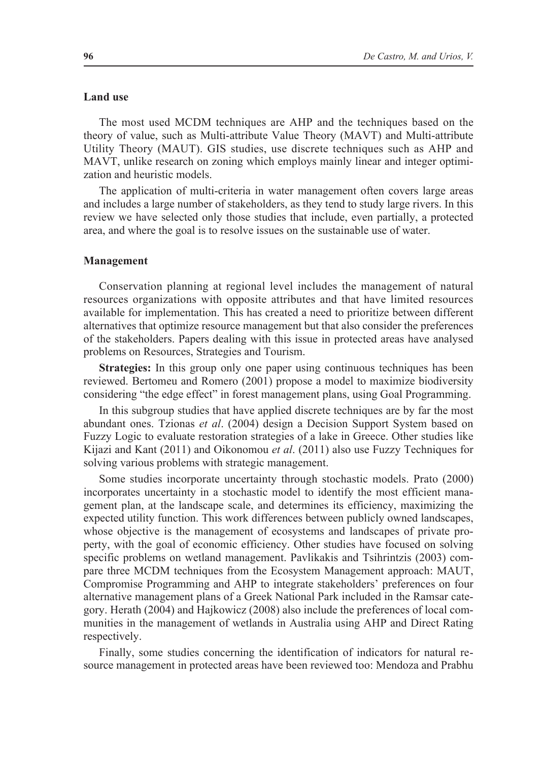## **Land use**

The most used MCDM techniques are AHP and the techniques based on the theory of value, such as Multi-attribute Value Theory (MAVT) and Multi-attribute Utility Theory (MAUT). GIS studies, use discrete techniques such as AHP and MAVT, unlike research on zoning which employs mainly linear and integer optimization and heuristic models.

The application of multi-criteria in water management often covers large areas and includes a large number of stakeholders, as they tend to study large rivers. In this review we have selected only those studies that include, even partially, a protected area, and where the goal is to resolve issues on the sustainable use of water.

#### **Management**

Conservation planning at regional level includes the management of natural resources organizations with opposite attributes and that have limited resources available for implementation. This has created a need to prioritize between different alternatives that optimize resource management but that also consider the preferences of the stakeholders. Papers dealing with this issue in protected areas have analysed problems on Resources, Strategies and Tourism.

**Strategies:** In this group only one paper using continuous techniques has been reviewed. Bertomeu and Romero (2001) propose a model to maximize biodiversity considering "the edge effect" in forest management plans, using Goal Programming.

In this subgroup studies that have applied discrete techniques are by far the most abundant ones. Tzionas *et al*. (2004) design a Decision Support System based on Fuzzy Logic to evaluate restoration strategies of a lake in Greece. Other studies like Kijazi and Kant (2011) and Oikonomou *et al*. (2011) also use Fuzzy Techniques for solving various problems with strategic management.

Some studies incorporate uncertainty through stochastic models. Prato (2000) incorporates uncertainty in a stochastic model to identify the most efficient management plan, at the landscape scale, and determines its efficiency, maximizing the expected utility function. This work differences between publicly owned landscapes, whose objective is the management of ecosystems and landscapes of private property, with the goal of economic efficiency. Other studies have focused on solving specific problems on wetland management. Pavlikakis and Tsihrintzis (2003) compare three MCDM techniques from the Ecosystem Management approach: MAUT, Compromise Programming and AHP to integrate stakeholders' preferences on four alternative management plans of a Greek National Park included in the Ramsar category. Herath (2004) and Hajkowicz (2008) also include the preferences of local communities in the management of wetlands in Australia using AHP and Direct Rating respectively.

Finally, some studies concerning the identification of indicators for natural resource management in protected areas have been reviewed too: Mendoza and Prabhu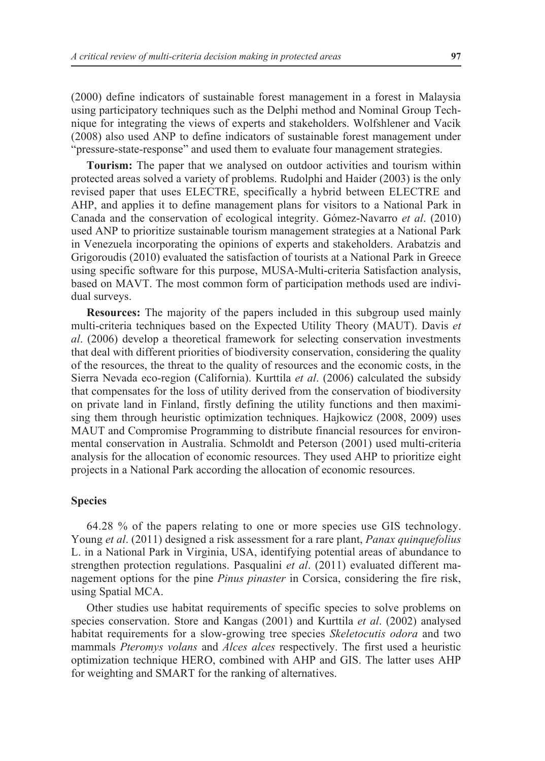(2000) define indicators of sustainable forest management in a forest in Malaysia using participatory techniques such as the Delphi method and Nominal Group Technique for integrating the views of experts and stakeholders. Wolfshlener and Vacik (2008) also used ANP to define indicators of sustainable forest management under "pressure-state-response" and used them to evaluate four management strategies.

**Tourism:** The paper that we analysed on outdoor activities and tourism within protected areas solved a variety of problems. Rudolphi and Haider (2003) is the only revised paper that uses ELECTRE, specifically a hybrid between ELECTRE and AHP, and applies it to define management plans for visitors to a National Park in Canada and the conservation of ecological integrity. Gómez-Navarro *et al*. (2010) used ANP to prioritize sustainable tourism management strategies at a National Park in Venezuela incorporating the opinions of experts and stakeholders. Arabatzis and Grigoroudis (2010) evaluated the satisfaction of tourists at a National Park in Greece using specific software for this purpose, MUSA-Multi-criteria Satisfaction analysis, based on MAVT. The most common form of participation methods used are individual surveys.

**Resources:** The majority of the papers included in this subgroup used mainly multi-criteria techniques based on the Expected Utility Theory (MAUT). Davis *et al*. (2006) develop a theoretical framework for selecting conservation investments that deal with different priorities of biodiversity conservation, considering the quality of the resources, the threat to the quality of resources and the economic costs, in the Sierra Nevada eco-region (California). Kurttila *et al*. (2006) calculated the subsidy that compensates for the loss of utility derived from the conservation of biodiversity on private land in Finland, firstly defining the utility functions and then maximising them through heuristic optimization techniques. Hajkowicz (2008, 2009) uses MAUT and Compromise Programming to distribute financial resources for environmental conservation in Australia. Schmoldt and Peterson (2001) used multi-criteria analysis for the allocation of economic resources. They used AHP to prioritize eight projects in a National Park according the allocation of economic resources.

## **Species**

64.28 % of the papers relating to one or more species use GIS technology. Young *et al*. (2011) designed a risk assessment for a rare plant, *Panax quinquefolius* L. in a National Park in Virginia, USA, identifying potential areas of abundance to strengthen protection regulations. Pasqualini *et al*. (2011) evaluated different management options for the pine *Pinus pinaster* in Corsica, considering the fire risk, using Spatial MCA.

Other studies use habitat requirements of specific species to solve problems on species conservation. Store and Kangas (2001) and Kurttila *et al*. (2002) analysed habitat requirements for a slow-growing tree species *Skeletocutis odora* and two mammals *Pteromys volans* and *Alces alces* respectively. The first used a heuristic optimization technique HERO, combined with AHP and GIS. The latter uses AHP for weighting and SMART for the ranking of alternatives.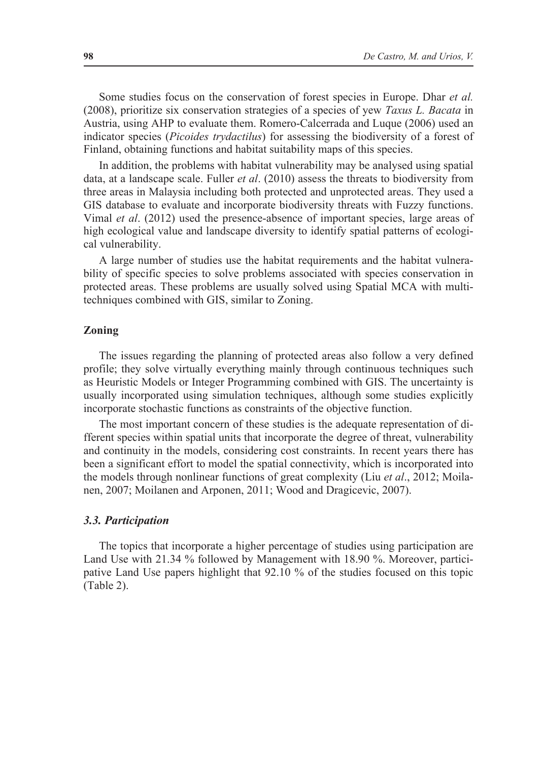Some studies focus on the conservation of forest species in Europe. Dhar *et al.* (2008), prioritize six conservation strategies of a species of yew *Taxus L. Bacata* in Austria, using AHP to evaluate them. Romero-Calcerrada and Luque (2006) used an indicator species (*Picoides trydactilus*) for assessing the biodiversity of a forest of Finland, obtaining functions and habitat suitability maps of this species.

In addition, the problems with habitat vulnerability may be analysed using spatial data, at a landscape scale. Fuller *et al*. (2010) assess the threats to biodiversity from three areas in Malaysia including both protected and unprotected areas. They used a GIS database to evaluate and incorporate biodiversity threats with Fuzzy functions. Vimal *et al*. (2012) used the presence-absence of important species, large areas of high ecological value and landscape diversity to identify spatial patterns of ecological vulnerability.

A large number of studies use the habitat requirements and the habitat vulnerability of specific species to solve problems associated with species conservation in protected areas. These problems are usually solved using Spatial MCA with multitechniques combined with GIS, similar to Zoning.

## **Zoning**

The issues regarding the planning of protected areas also follow a very defined profile; they solve virtually everything mainly through continuous techniques such as Heuristic Models or Integer Programming combined with GIS. The uncertainty is usually incorporated using simulation techniques, although some studies explicitly incorporate stochastic functions as constraints of the objective function.

The most important concern of these studies is the adequate representation of different species within spatial units that incorporate the degree of threat, vulnerability and continuity in the models, considering cost constraints. In recent years there has been a significant effort to model the spatial connectivity, which is incorporated into the models through nonlinear functions of great complexity (Liu *et al*., 2012; Moilanen, 2007; Moilanen and Arponen, 2011; Wood and Dragicevic, 2007).

## *3.3. Participation*

The topics that incorporate a higher percentage of studies using participation are Land Use with 21.34 % followed by Management with 18.90 %. Moreover, participative Land Use papers highlight that 92.10 % of the studies focused on this topic (Table 2).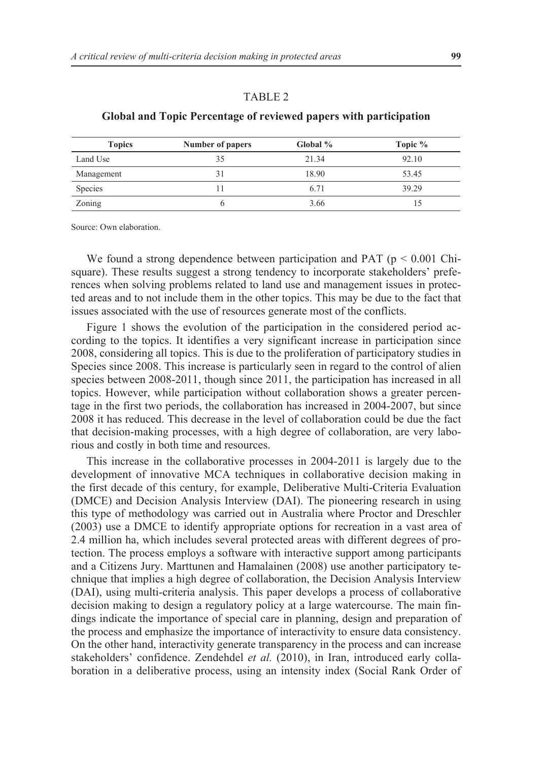#### TABLE 2

| <b>Topics</b> | Number of papers | Global % | Topic % |
|---------------|------------------|----------|---------|
| Land Use      | 35               | 21.34    | 92.10   |
| Management    |                  | 18.90    | 53.45   |
| Species       |                  | 6.71     | 39.29   |
| Zoning        |                  | 3.66     |         |

# **Global and Topic Percentage of reviewed papers with participation**

Source: Own elaboration.

We found a strong dependence between participation and PAT ( $p < 0.001$  Chisquare). These results suggest a strong tendency to incorporate stakeholders' preferences when solving problems related to land use and management issues in protected areas and to not include them in the other topics. This may be due to the fact that issues associated with the use of resources generate most of the conflicts.

Figure 1 shows the evolution of the participation in the considered period according to the topics. It identifies a very significant increase in participation since 2008, considering all topics. This is due to the proliferation of participatory studies in Species since 2008. This increase is particularly seen in regard to the control of alien species between 2008-2011, though since 2011, the participation has increased in all topics. However, while participation without collaboration shows a greater percentage in the first two periods, the collaboration has increased in 2004-2007, but since 2008 it has reduced. This decrease in the level of collaboration could be due the fact that decision-making processes, with a high degree of collaboration, are very laborious and costly in both time and resources.

This increase in the collaborative processes in 2004-2011 is largely due to the development of innovative MCA techniques in collaborative decision making in the first decade of this century, for example, Deliberative Multi-Criteria Evaluation (DMCE) and Decision Analysis Interview (DAI). The pioneering research in using this type of methodology was carried out in Australia where Proctor and Dreschler (2003) use a DMCE to identify appropriate options for recreation in a vast area of 2.4 million ha, which includes several protected areas with different degrees of protection. The process employs a software with interactive support among participants and a Citizens Jury. Marttunen and Hamalainen (2008) use another participatory technique that implies a high degree of collaboration, the Decision Analysis Interview (DAI), using multi-criteria analysis. This paper develops a process of collaborative decision making to design a regulatory policy at a large watercourse. The main findings indicate the importance of special care in planning, design and preparation of the process and emphasize the importance of interactivity to ensure data consistency. On the other hand, interactivity generate transparency in the process and can increase stakeholders' confidence. Zendehdel *et al.* (2010), in Iran, introduced early collaboration in a deliberative process, using an intensity index (Social Rank Order of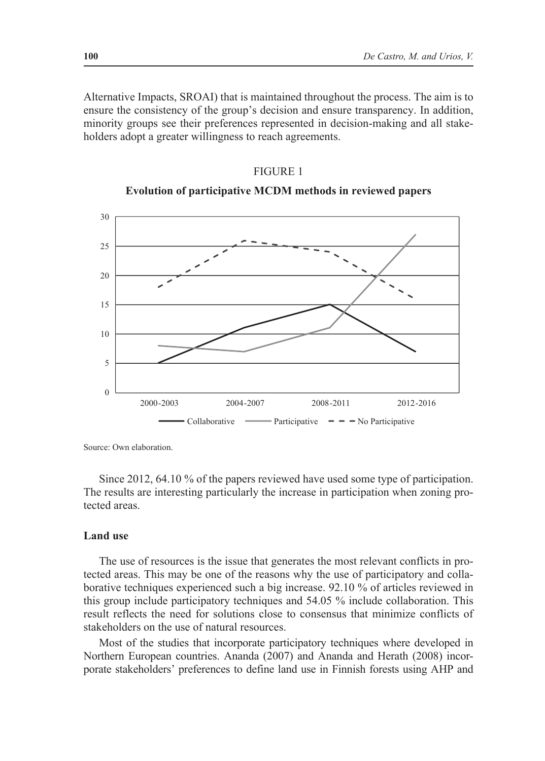Alternative Impacts, SROAI) that is maintained throughout the process. The aim is to ensure the consistency of the group's decision and ensure transparency. In addition, minority groups see their preferences represented in decision-making and all stakeholders adopt a greater willingness to reach agreements.





Source: Own elaboration.

Since 2012, 64.10 % of the papers reviewed have used some type of participation. The results are interesting particularly the increase in participation when zoning protected areas.

## **Land use**

The use of resources is the issue that generates the most relevant conflicts in protected areas. This may be one of the reasons why the use of participatory and collaborative techniques experienced such a big increase. 92.10 % of articles reviewed in this group include participatory techniques and 54.05 % include collaboration. This result reflects the need for solutions close to consensus that minimize conflicts of stakeholders on the use of natural resources.

Most of the studies that incorporate participatory techniques where developed in Northern European countries. Ananda (2007) and Ananda and Herath (2008) incorporate stakeholders' preferences to define land use in Finnish forests using AHP and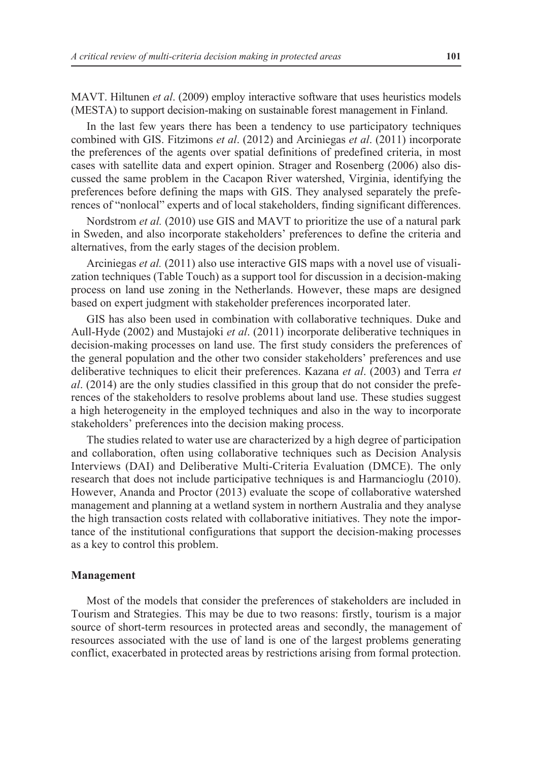MAVT. Hiltunen *et al*. (2009) employ interactive software that uses heuristics models (MESTA) to support decision-making on sustainable forest management in Finland.

In the last few years there has been a tendency to use participatory techniques combined with GIS. Fitzimons *et al*. (2012) and Arciniegas *et al*. (2011) incorporate the preferences of the agents over spatial definitions of predefined criteria, in most cases with satellite data and expert opinion. Strager and Rosenberg (2006) also discussed the same problem in the Cacapon River watershed, Virginia, identifying the preferences before defining the maps with GIS. They analysed separately the preferences of "nonlocal" experts and of local stakeholders, finding significant differences.

Nordstrom *et al.* (2010) use GIS and MAVT to prioritize the use of a natural park in Sweden, and also incorporate stakeholders' preferences to define the criteria and alternatives, from the early stages of the decision problem.

Arciniegas *et al.* (2011) also use interactive GIS maps with a novel use of visualization techniques (Table Touch) as a support tool for discussion in a decision-making process on land use zoning in the Netherlands. However, these maps are designed based on expert judgment with stakeholder preferences incorporated later.

GIS has also been used in combination with collaborative techniques. Duke and Aull-Hyde (2002) and Mustajoki *et al*. (2011) incorporate deliberative techniques in decision-making processes on land use. The first study considers the preferences of the general population and the other two consider stakeholders' preferences and use deliberative techniques to elicit their preferences. Kazana *et al*. (2003) and Terra *et al*. (2014) are the only studies classified in this group that do not consider the preferences of the stakeholders to resolve problems about land use. These studies suggest a high heterogeneity in the employed techniques and also in the way to incorporate stakeholders' preferences into the decision making process.

The studies related to water use are characterized by a high degree of participation and collaboration, often using collaborative techniques such as Decision Analysis Interviews (DAI) and Deliberative Multi-Criteria Evaluation (DMCE). The only research that does not include participative techniques is and Harmancioglu (2010). However, Ananda and Proctor (2013) evaluate the scope of collaborative watershed management and planning at a wetland system in northern Australia and they analyse the high transaction costs related with collaborative initiatives. They note the importance of the institutional configurations that support the decision-making processes as a key to control this problem.

#### **Management**

Most of the models that consider the preferences of stakeholders are included in Tourism and Strategies. This may be due to two reasons: firstly, tourism is a major source of short-term resources in protected areas and secondly, the management of resources associated with the use of land is one of the largest problems generating conflict, exacerbated in protected areas by restrictions arising from formal protection.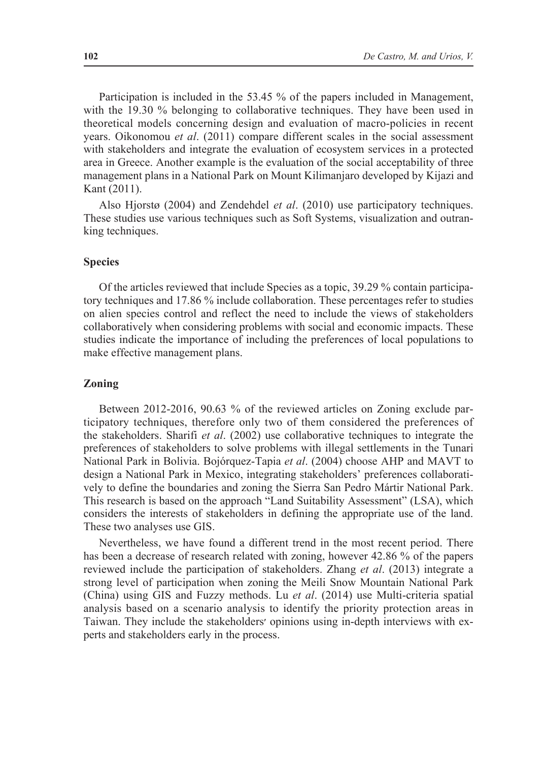Participation is included in the 53.45 % of the papers included in Management, with the 19.30 % belonging to collaborative techniques. They have been used in theoretical models concerning design and evaluation of macro-policies in recent years. Oikonomou *et al*. (2011) compare different scales in the social assessment with stakeholders and integrate the evaluation of ecosystem services in a protected area in Greece. Another example is the evaluation of the social acceptability of three management plans in a National Park on Mount Kilimanjaro developed by Kijazi and Kant (2011).

Also Hjorstø (2004) and Zendehdel *et al*. (2010) use participatory techniques. These studies use various techniques such as Soft Systems, visualization and outranking techniques.

#### **Species**

Of the articles reviewed that include Species as a topic, 39.29 % contain participatory techniques and 17.86 % include collaboration. These percentages refer to studies on alien species control and reflect the need to include the views of stakeholders collaboratively when considering problems with social and economic impacts. These studies indicate the importance of including the preferences of local populations to make effective management plans.

#### **Zoning**

Between 2012-2016, 90.63 % of the reviewed articles on Zoning exclude participatory techniques, therefore only two of them considered the preferences of the stakeholders. Sharifi *et al*. (2002) use collaborative techniques to integrate the preferences of stakeholders to solve problems with illegal settlements in the Tunari National Park in Bolivia. Bojórquez-Tapia *et al*. (2004) choose AHP and MAVT to design a National Park in Mexico, integrating stakeholders' preferences collaboratively to define the boundaries and zoning the Sierra San Pedro Mártir National Park. This research is based on the approach "Land Suitability Assessment" (LSA), which considers the interests of stakeholders in defining the appropriate use of the land. These two analyses use GIS.

Nevertheless, we have found a different trend in the most recent period. There has been a decrease of research related with zoning, however 42.86 % of the papers reviewed include the participation of stakeholders. Zhang *et al*. (2013) integrate a strong level of participation when zoning the Meili Snow Mountain National Park (China) using GIS and Fuzzy methods. Lu *et al*. (2014) use Multi-criteria spatial analysis based on a scenario analysis to identify the priority protection areas in Taiwan. They include the stakeholders׳ opinions using in-depth interviews with experts and stakeholders early in the process.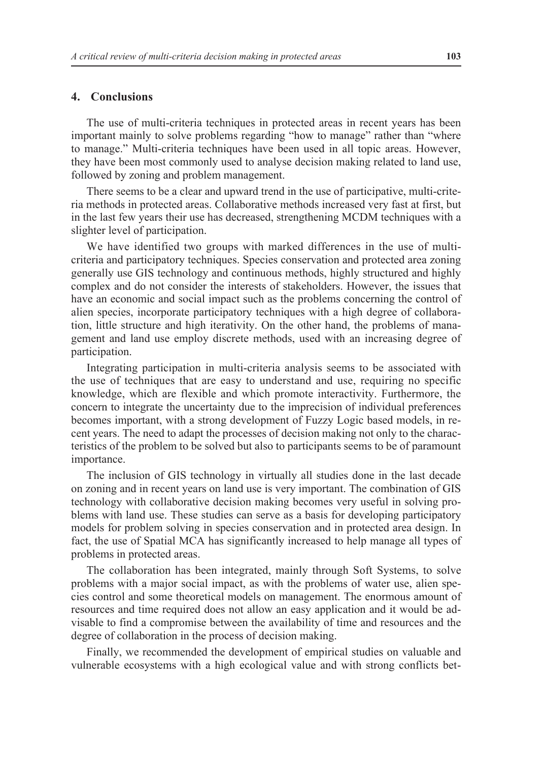#### **4. Conclusions**

The use of multi-criteria techniques in protected areas in recent years has been important mainly to solve problems regarding "how to manage" rather than "where to manage." Multi-criteria techniques have been used in all topic areas. However, they have been most commonly used to analyse decision making related to land use, followed by zoning and problem management.

There seems to be a clear and upward trend in the use of participative, multi-criteria methods in protected areas. Collaborative methods increased very fast at first, but in the last few years their use has decreased, strengthening MCDM techniques with a slighter level of participation.

We have identified two groups with marked differences in the use of multicriteria and participatory techniques. Species conservation and protected area zoning generally use GIS technology and continuous methods, highly structured and highly complex and do not consider the interests of stakeholders. However, the issues that have an economic and social impact such as the problems concerning the control of alien species, incorporate participatory techniques with a high degree of collaboration, little structure and high iterativity. On the other hand, the problems of management and land use employ discrete methods, used with an increasing degree of participation.

Integrating participation in multi-criteria analysis seems to be associated with the use of techniques that are easy to understand and use, requiring no specific knowledge, which are flexible and which promote interactivity. Furthermore, the concern to integrate the uncertainty due to the imprecision of individual preferences becomes important, with a strong development of Fuzzy Logic based models, in recent years. The need to adapt the processes of decision making not only to the characteristics of the problem to be solved but also to participants seems to be of paramount importance.

The inclusion of GIS technology in virtually all studies done in the last decade on zoning and in recent years on land use is very important. The combination of GIS technology with collaborative decision making becomes very useful in solving problems with land use. These studies can serve as a basis for developing participatory models for problem solving in species conservation and in protected area design. In fact, the use of Spatial MCA has significantly increased to help manage all types of problems in protected areas.

The collaboration has been integrated, mainly through Soft Systems, to solve problems with a major social impact, as with the problems of water use, alien species control and some theoretical models on management. The enormous amount of resources and time required does not allow an easy application and it would be advisable to find a compromise between the availability of time and resources and the degree of collaboration in the process of decision making.

Finally, we recommended the development of empirical studies on valuable and vulnerable ecosystems with a high ecological value and with strong conflicts bet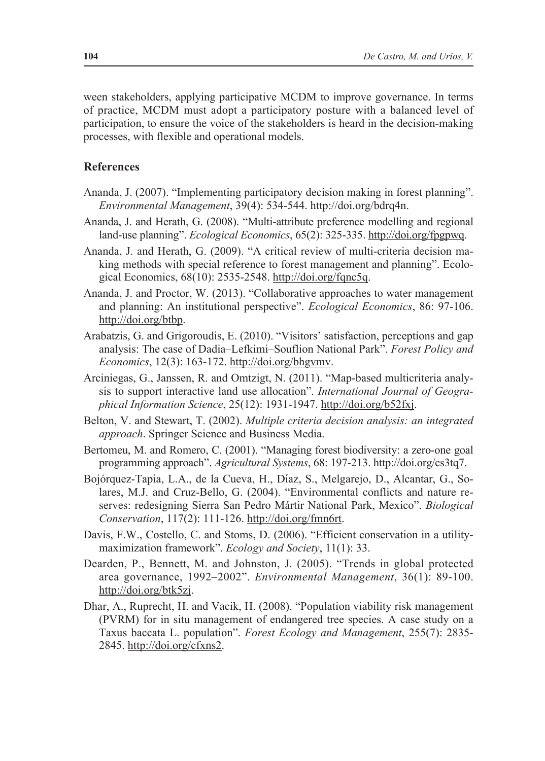ween stakeholders, applying participative MCDM to improve governance. In terms of practice, MCDM must adopt a participatory posture with a balanced level of participation, to ensure the voice of the stakeholders is heard in the decision-making processes, with flexible and operational models.

## **References**

- Ananda, J. (2007). "Implementing participatory decision making in forest planning". *Environmental Management*, 39(4): 534-544. http://doi.org/bdrq4n.
- Ananda, J. and Herath, G. (2008). "Multi-attribute preference modelling and regional land-use planning". *Ecological Economics*, 65(2): 325-335. http://doi.org/fpgpwq.
- Ananda, J. and Herath, G. (2009). "A critical review of multi-criteria decision making methods with special reference to forest management and planning". Ecological Economics, 68(10): 2535-2548. http://doi.org/fqnc5q.
- Ananda, J. and Proctor, W. (2013). "Collaborative approaches to water management and planning: An institutional perspective". *Ecological Economics*, 86: 97-106. http://doi.org/btbp.
- Arabatzis, G. and Grigoroudis, E. (2010). "Visitors' satisfaction, perceptions and gap analysis: The case of Dadia–Lefkimi–Souflion National Park". *Forest Policy and Economics*, 12(3): 163-172. http://doi.org/bhgvmv.
- Arciniegas, G., Janssen, R. and Omtzigt, N. (2011). "Map-based multicriteria analysis to support interactive land use allocation". *International Journal of Geographical Information Science*, 25(12): 1931-1947. http://doi.org/b52fxj.
- Belton, V. and Stewart, T. (2002). *Multiple criteria decision analysis: an integrated approach*. Springer Science and Business Media.
- Bertomeu, M. and Romero, C. (2001). "Managing forest biodiversity: a zero-one goal programming approach". *Agricultural Systems*, 68: 197-213. http://doi.org/cs3tq7.
- Bojórquez-Tapia, L.A., de la Cueva, H., Díaz, S., Melgarejo, D., Alcantar, G., Solares, M.J. and Cruz-Bello, G. (2004). "Environmental conflicts and nature reserves: redesigning Sierra San Pedro Mártir National Park, Mexico". *Biological Conservation*, 117(2): 111-126. http://doi.org/fmn6rt.
- Davis, F.W., Costello, C. and Stoms, D. (2006). "Efficient conservation in a utilitymaximization framework". *Ecology and Society*, 11(1): 33.
- Dearden, P., Bennett, M. and Johnston, J. (2005). "Trends in global protected area governance, 1992–2002". *Environmental Management*, 36(1): 89-100. http://doi.org/btk5zj.
- Dhar, A., Ruprecht, H. and Vacik, H. (2008). "Population viability risk management (PVRM) for in situ management of endangered tree species. A case study on a Taxus baccata L. population". *Forest Ecology and Management*, 255(7): 2835- 2845. http://doi.org/cfxns2.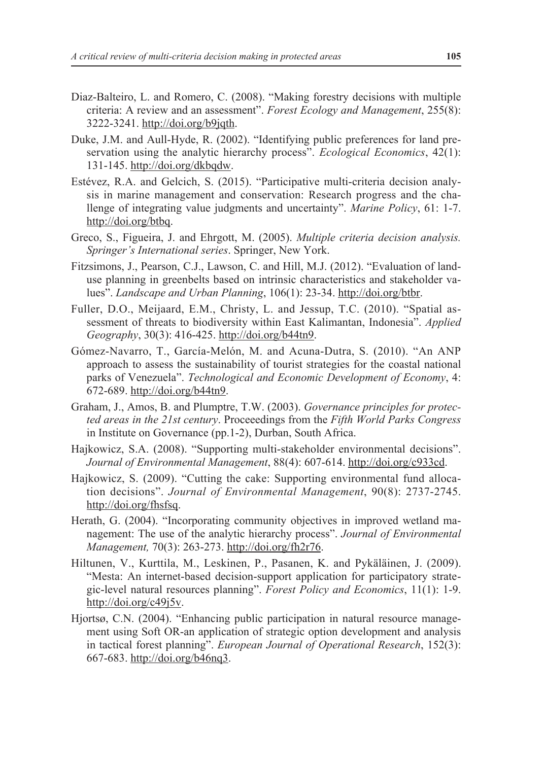- Diaz-Balteiro, L. and Romero, C. (2008). "Making forestry decisions with multiple criteria: A review and an assessment". *Forest Ecology and Management*, 255(8): 3222-3241. http://doi.org/b9jqth.
- Duke, J.M. and Aull-Hyde, R. (2002). "Identifying public preferences for land preservation using the analytic hierarchy process". *Ecological Economics*, 42(1): 131-145. http://doi.org/dkbqdw.
- Estévez, R.A. and Gelcich, S. (2015). "Participative multi-criteria decision analysis in marine management and conservation: Research progress and the challenge of integrating value judgments and uncertainty". *Marine Policy*, 61: 1-7. http://doi.org/btbq.
- Greco, S., Figueira, J. and Ehrgott, M. (2005). *Multiple criteria decision analysis. Springer's International series*. Springer, New York.
- Fitzsimons, J., Pearson, C.J., Lawson, C. and Hill, M.J. (2012). "Evaluation of landuse planning in greenbelts based on intrinsic characteristics and stakeholder values". *Landscape and Urban Planning*, 106(1): 23-34. http://doi.org/btbr.
- Fuller, D.O., Meijaard, E.M., Christy, L. and Jessup, T.C. (2010). "Spatial assessment of threats to biodiversity within East Kalimantan, Indonesia". *Applied Geography*, 30(3): 416-425. http://doi.org/b44tn9.
- Gómez-Navarro, T., García-Melón, M. and Acuna-Dutra, S. (2010). "An ANP approach to assess the sustainability of tourist strategies for the coastal national parks of Venezuela". *Technological and Economic Development of Economy*, 4: 672-689. http://doi.org/b44tn9.
- Graham, J., Amos, B. and Plumptre, T.W. (2003). *Governance principles for protected areas in the 21st century*. Proceeedings from the *Fifth World Parks Congress* in Institute on Governance (pp.1-2), Durban, South Africa.
- Hajkowicz, S.A. (2008). "Supporting multi-stakeholder environmental decisions". *Journal of Environmental Management*, 88(4): 607-614. http://doi.org/c933cd.
- Hajkowicz, S. (2009). "Cutting the cake: Supporting environmental fund allocation decisions". *Journal of Environmental Management*, 90(8): 2737-2745. http://doi.org/fhsfsq.
- Herath, G. (2004). "Incorporating community objectives in improved wetland management: The use of the analytic hierarchy process". *Journal of Environmental Management,* 70(3): 263-273. http://doi.org/fh2r76.
- Hiltunen, V., Kurttila, M., Leskinen, P., Pasanen, K. and Pykäläinen, J. (2009). "Mesta: An internet-based decision-support application for participatory strategic-level natural resources planning". *Forest Policy and Economics*, 11(1): 1-9. http://doi.org/c49j5v.
- Hjortsø, C.N. (2004). "Enhancing public participation in natural resource management using Soft OR-an application of strategic option development and analysis in tactical forest planning". *European Journal of Operational Research*, 152(3): 667-683. http://doi.org/b46nq3.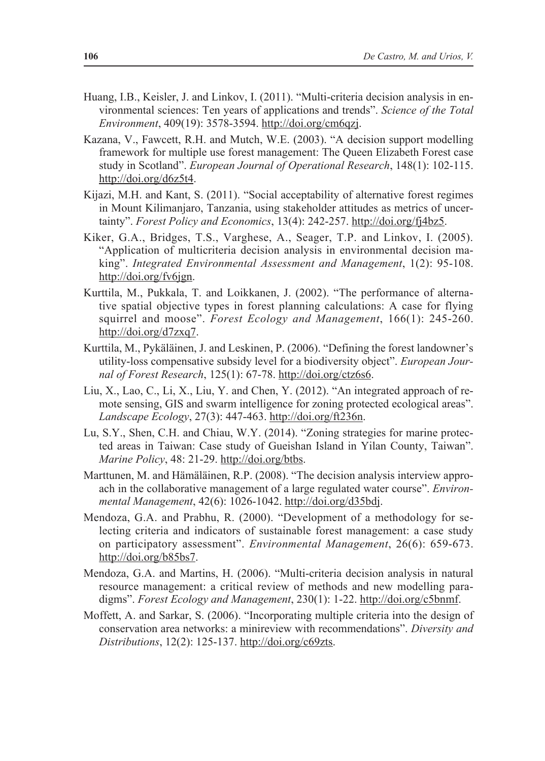- Huang, I.B., Keisler, J. and Linkov, I. (2011). "Multi-criteria decision analysis in environmental sciences: Ten years of applications and trends". *Science of the Total Environment*, 409(19): 3578-3594. http://doi.org/cm6qzj.
- Kazana, V., Fawcett, R.H. and Mutch, W.E. (2003). "A decision support modelling framework for multiple use forest management: The Queen Elizabeth Forest case study in Scotland". *European Journal of Operational Research*, 148(1): 102-115. http://doi.org/d6z5t4.
- Kijazi, M.H. and Kant, S. (2011). "Social acceptability of alternative forest regimes in Mount Kilimanjaro, Tanzania, using stakeholder attitudes as metrics of uncertainty". *Forest Policy and Economics*, 13(4): 242-257. http://doi.org/fj4bz5.
- Kiker, G.A., Bridges, T.S., Varghese, A., Seager, T.P. and Linkov, I. (2005). "Application of multicriteria decision analysis in environmental decision making". *Integrated Environmental Assessment and Management*, 1(2): 95-108. http://doi.org/fv6jgn.
- Kurttila, M., Pukkala, T. and Loikkanen, J. (2002). "The performance of alternative spatial objective types in forest planning calculations: A case for flying squirrel and moose". *Forest Ecology and Management*, 166(1): 245-260. http://doi.org/d7zxq7.
- Kurttila, M., Pykäläinen, J. and Leskinen, P. (2006). "Defining the forest landowner's utility-loss compensative subsidy level for a biodiversity object". *European Journal of Forest Research*, 125(1): 67-78. http://doi.org/ctz6s6.
- Liu, X., Lao, C., Li, X., Liu, Y. and Chen, Y. (2012). "An integrated approach of remote sensing, GIS and swarm intelligence for zoning protected ecological areas". *Landscape Ecology*, 27(3): 447-463. http://doi.org/ft236n.
- Lu, S.Y., Shen, C.H. and Chiau, W.Y. (2014). "Zoning strategies for marine protected areas in Taiwan: Case study of Gueishan Island in Yilan County, Taiwan". *Marine Policy*, 48: 21-29. http://doi.org/btbs.
- Marttunen, M. and Hämäläinen, R.P. (2008). "The decision analysis interview approach in the collaborative management of a large regulated water course". *Environmental Management*, 42(6): 1026-1042. http://doi.org/d35bdj.
- Mendoza, G.A. and Prabhu, R. (2000). "Development of a methodology for selecting criteria and indicators of sustainable forest management: a case study on participatory assessment". *Environmental Management*, 26(6): 659-673. http://doi.org/b85bs7.
- Mendoza, G.A. and Martins, H. (2006). "Multi-criteria decision analysis in natural resource management: a critical review of methods and new modelling paradigms". *Forest Ecology and Management*, 230(1): 1-22. http://doi.org/c5bnmf.
- Moffett, A. and Sarkar, S. (2006). "Incorporating multiple criteria into the design of conservation area networks: a minireview with recommendations". *Diversity and Distributions*, 12(2): 125-137. http://doi.org/c69zts.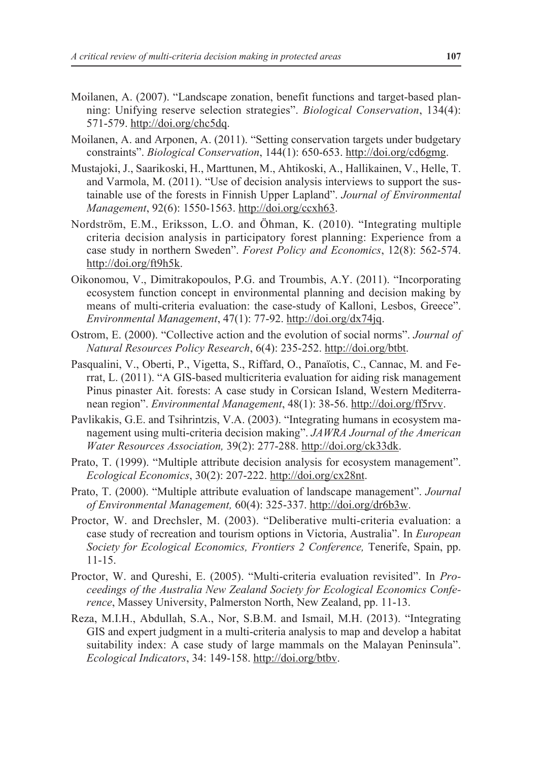- Moilanen, A. (2007). "Landscape zonation, benefit functions and target-based planning: Unifying reserve selection strategies". *Biological Conservation*, 134(4): 571-579. http://doi.org/chc5dq.
- Moilanen, A. and Arponen, A. (2011). "Setting conservation targets under budgetary constraints". *Biological Conservation*, 144(1): 650-653. http://doi.org/cd6gmg.
- Mustajoki, J., Saarikoski, H., Marttunen, M., Ahtikoski, A., Hallikainen, V., Helle, T. and Varmola, M. (2011). "Use of decision analysis interviews to support the sustainable use of the forests in Finnish Upper Lapland". *Journal of Environmental Management*, 92(6): 1550-1563. http://doi.org/ccxh63.
- Nordström, E.M., Eriksson, L.O. and Öhman, K. (2010). "Integrating multiple criteria decision analysis in participatory forest planning: Experience from a case study in northern Sweden". *Forest Policy and Economics*, 12(8): 562-574. http://doi.org/ft9h5k.
- Oikonomou, V., Dimitrakopoulos, P.G. and Troumbis, A.Y. (2011). "Incorporating ecosystem function concept in environmental planning and decision making by means of multi-criteria evaluation: the case-study of Kalloni, Lesbos, Greece". *Environmental Management*, 47(1): 77-92. http://doi.org/dx74jq.
- Ostrom, E. (2000). "Collective action and the evolution of social norms". *Journal of Natural Resources Policy Research*, 6(4): 235-252. http://doi.org/btbt.
- Pasqualini, V., Oberti, P., Vigetta, S., Riffard, O., Panaïotis, C., Cannac, M. and Ferrat, L. (2011). "A GIS-based multicriteria evaluation for aiding risk management Pinus pinaster Ait. forests: A case study in Corsican Island, Western Mediterranean region". *Environmental Management*, 48(1): 38-56. http://doi.org/ff5rvv.
- Pavlikakis, G.E. and Tsihrintzis, V.A. (2003). "Integrating humans in ecosystem management using multi-criteria decision making". *JAWRA Journal of the American Water Resources Association,* 39(2): 277-288. http://doi.org/ck33dk.
- Prato, T. (1999). "Multiple attribute decision analysis for ecosystem management". *Ecological Economics*, 30(2): 207-222. http://doi.org/cx28nt.
- Prato, T. (2000). "Multiple attribute evaluation of landscape management". *Journal of Environmental Management,* 60(4): 325-337. http://doi.org/dr6b3w.
- Proctor, W. and Drechsler, M. (2003). "Deliberative multi-criteria evaluation: a case study of recreation and tourism options in Victoria, Australia". In *European Society for Ecological Economics, Frontiers 2 Conference,* Tenerife, Spain, pp. 11-15.
- Proctor, W. and Qureshi, E. (2005). "Multi-criteria evaluation revisited". In *Proceedings of the Australia New Zealand Society for Ecological Economics Conference*, Massey University, Palmerston North, New Zealand, pp. 11-13.
- Reza, M.I.H., Abdullah, S.A., Nor, S.B.M. and Ismail, M.H. (2013). "Integrating GIS and expert judgment in a multi-criteria analysis to map and develop a habitat suitability index: A case study of large mammals on the Malayan Peninsula". *Ecological Indicators*, 34: 149-158. http://doi.org/btbv.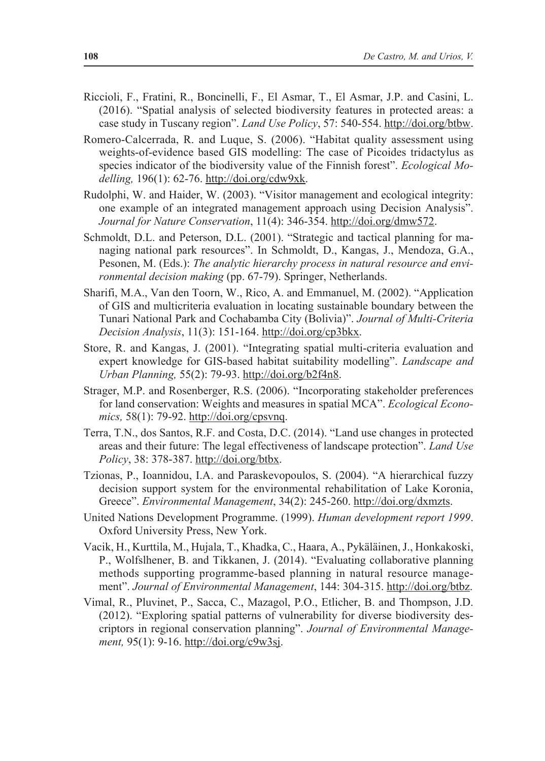- Riccioli, F., Fratini, R., Boncinelli, F., El Asmar, T., El Asmar, J.P. and Casini, L. (2016). "Spatial analysis of selected biodiversity features in protected areas: a case study in Tuscany region". *Land Use Policy*, 57: 540-554. http://doi.org/btbw.
- Romero-Calcerrada, R. and Luque, S. (2006). "Habitat quality assessment using weights-of-evidence based GIS modelling: The case of Picoides tridactylus as species indicator of the biodiversity value of the Finnish forest". *Ecological Modelling,* 196(1): 62-76. http://doi.org/cdw9xk.
- Rudolphi, W. and Haider, W. (2003). "Visitor management and ecological integrity: one example of an integrated management approach using Decision Analysis". *Journal for Nature Conservation*, 11(4): 346-354. http://doi.org/dmw572.
- Schmoldt, D.L. and Peterson, D.L. (2001). "Strategic and tactical planning for managing national park resources". In Schmoldt, D., Kangas, J., Mendoza, G.A., Pesonen, M. (Eds.): *The analytic hierarchy process in natural resource and environmental decision making* (pp. 67-79). Springer, Netherlands.
- Sharifi, M.A., Van den Toorn, W., Rico, A. and Emmanuel, M. (2002). "Application of GIS and multicriteria evaluation in locating sustainable boundary between the Tunari National Park and Cochabamba City (Bolivia)". *Journal of Multi-Criteria Decision Analysis*, 11(3): 151-164. http://doi.org/cp3bkx.
- Store, R. and Kangas, J. (2001). "Integrating spatial multi-criteria evaluation and expert knowledge for GIS-based habitat suitability modelling". *Landscape and Urban Planning,* 55(2): 79-93. http://doi.org/b2f4n8.
- Strager, M.P. and Rosenberger, R.S. (2006). "Incorporating stakeholder preferences for land conservation: Weights and measures in spatial MCA". *Ecological Economics,* 58(1): 79-92. http://doi.org/cpsvnq.
- Terra, T.N., dos Santos, R.F. and Costa, D.C. (2014). "Land use changes in protected areas and their future: The legal effectiveness of landscape protection". *Land Use Policy*, 38: 378-387. http://doi.org/btbx.
- Tzionas, P., Ioannidou, I.A. and Paraskevopoulos, S. (2004). "A hierarchical fuzzy decision support system for the environmental rehabilitation of Lake Koronia, Greece". *Environmental Management*, 34(2): 245-260. http://doi.org/dxmzts.
- United Nations Development Programme. (1999). *Human development report 1999*. Oxford University Press, New York.
- Vacik, H., Kurttila, M., Hujala, T., Khadka, C., Haara, A., Pykäläinen, J., Honkakoski, P., Wolfslhener, B. and Tikkanen, J. (2014). "Evaluating collaborative planning methods supporting programme-based planning in natural resource management". *Journal of Environmental Management*, 144: 304-315. http://doi.org/btbz.
- Vimal, R., Pluvinet, P., Sacca, C., Mazagol, P.O., Etlicher, B. and Thompson, J.D. (2012). "Exploring spatial patterns of vulnerability for diverse biodiversity descriptors in regional conservation planning". *Journal of Environmental Management,* 95(1): 9-16. http://doi.org/c9w3sj.